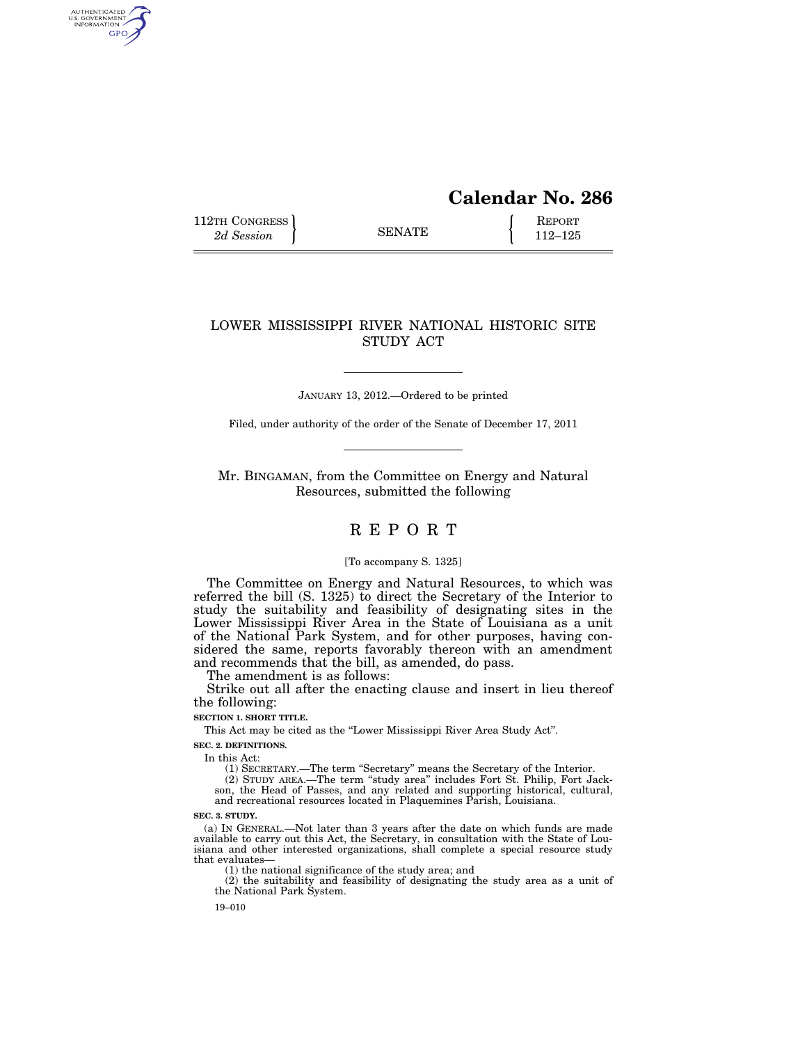# **Calendar No. 286**

112TH CONGRESS **REPORT** 2d Session **112–125** 

AUTHENTICATED<br>U.S. GOVERNMENT<br>INFORMATION GPO

## LOWER MISSISSIPPI RIVER NATIONAL HISTORIC SITE STUDY ACT

JANUARY 13, 2012.—Ordered to be printed

Filed, under authority of the order of the Senate of December 17, 2011

Mr. BINGAMAN, from the Committee on Energy and Natural Resources, submitted the following

## R E P O R T

#### [To accompany S. 1325]

The Committee on Energy and Natural Resources, to which was referred the bill (S. 1325) to direct the Secretary of the Interior to study the suitability and feasibility of designating sites in the Lower Mississippi River Area in the State of Louisiana as a unit of the National Park System, and for other purposes, having considered the same, reports favorably thereon with an amendment and recommends that the bill, as amended, do pass.

The amendment is as follows:

Strike out all after the enacting clause and insert in lieu thereof the following:

#### **SECTION 1. SHORT TITLE.**

This Act may be cited as the ''Lower Mississippi River Area Study Act''.

**SEC. 2. DEFINITIONS.** 

In this Act:

(1) SECRETARY.—The term ''Secretary'' means the Secretary of the Interior. (2) STUDY AREA.—The term ''study area'' includes Fort St. Philip, Fort Jack-

son, the Head of Passes, and any related and supporting historical, cultural, and recreational resources located in Plaquemines Parish, Louisiana.

**SEC. 3. STUDY.** 

(a) IN GENERAL.—Not later than 3 years after the date on which funds are made available to carry out this Act, the Secretary, in consultation with the State of Louisiana and other interested organizations, shall complete a special resource study that evaluates—

(1) the national significance of the study area; and

(2) the suitability and feasibility of designating the study area as a unit of the National Park System.

19–010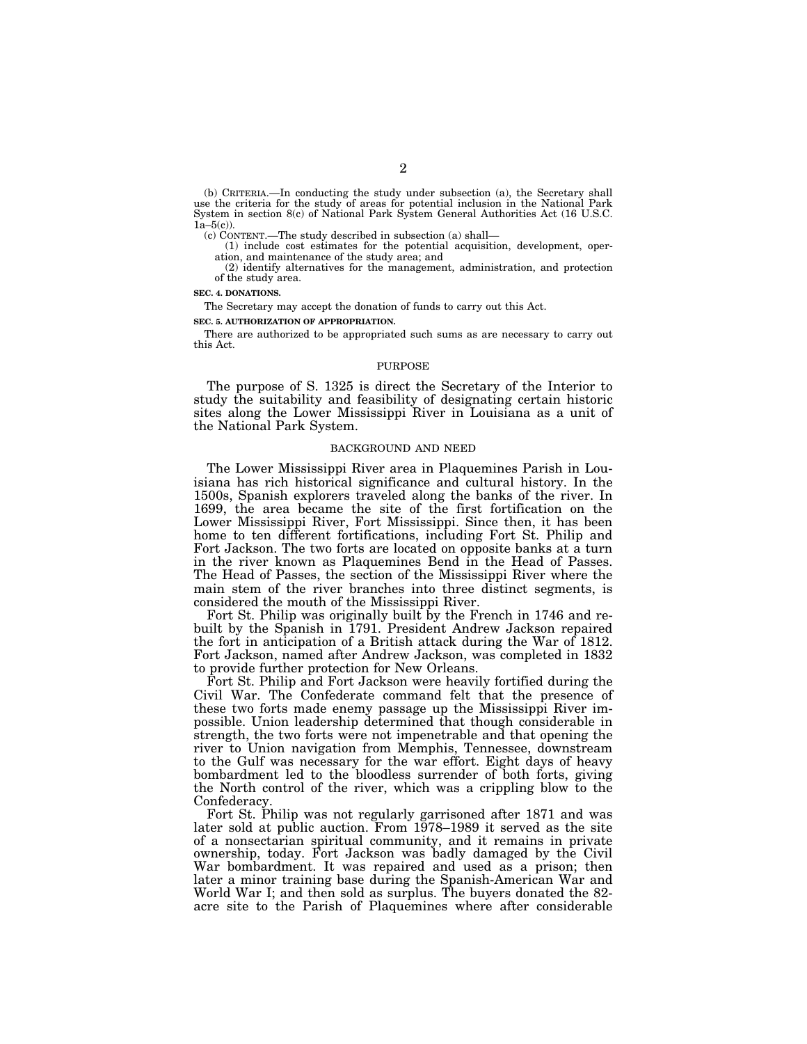(b) CRITERIA.—In conducting the study under subsection (a), the Secretary shall use the criteria for the study of areas for potential inclusion in the National Park System in section 8(c) of National Park System General Authorities Act (16 U.S.C.  $1a-5(c)$ ).

(c) CONTENT.—The study described in subsection (a) shall—

(1) include cost estimates for the potential acquisition, development, operation, and maintenance of the study area; and

(2) identify alternatives for the management, administration, and protection of the study area.

**SEC. 4. DONATIONS.** 

The Secretary may accept the donation of funds to carry out this Act.

**SEC. 5. AUTHORIZATION OF APPROPRIATION.** 

There are authorized to be appropriated such sums as are necessary to carry out this Act.

#### PURPOSE

The purpose of S. 1325 is direct the Secretary of the Interior to study the suitability and feasibility of designating certain historic sites along the Lower Mississippi River in Louisiana as a unit of the National Park System.

#### BACKGROUND AND NEED

The Lower Mississippi River area in Plaquemines Parish in Louisiana has rich historical significance and cultural history. In the 1500s, Spanish explorers traveled along the banks of the river. In 1699, the area became the site of the first fortification on the Lower Mississippi River, Fort Mississippi. Since then, it has been home to ten different fortifications, including Fort St. Philip and Fort Jackson. The two forts are located on opposite banks at a turn in the river known as Plaquemines Bend in the Head of Passes. The Head of Passes, the section of the Mississippi River where the main stem of the river branches into three distinct segments, is considered the mouth of the Mississippi River.

Fort St. Philip was originally built by the French in 1746 and rebuilt by the Spanish in 1791. President Andrew Jackson repaired the fort in anticipation of a British attack during the War of 1812. Fort Jackson, named after Andrew Jackson, was completed in 1832 to provide further protection for New Orleans.

Fort St. Philip and Fort Jackson were heavily fortified during the Civil War. The Confederate command felt that the presence of these two forts made enemy passage up the Mississippi River impossible. Union leadership determined that though considerable in strength, the two forts were not impenetrable and that opening the river to Union navigation from Memphis, Tennessee, downstream to the Gulf was necessary for the war effort. Eight days of heavy bombardment led to the bloodless surrender of both forts, giving the North control of the river, which was a crippling blow to the Confederacy.

Fort St. Philip was not regularly garrisoned after 1871 and was later sold at public auction. From 1978–1989 it served as the site of a nonsectarian spiritual community, and it remains in private ownership, today. Fort Jackson was badly damaged by the Civil War bombardment. It was repaired and used as a prison; then later a minor training base during the Spanish-American War and World War I; and then sold as surplus. The buyers donated the 82 acre site to the Parish of Plaquemines where after considerable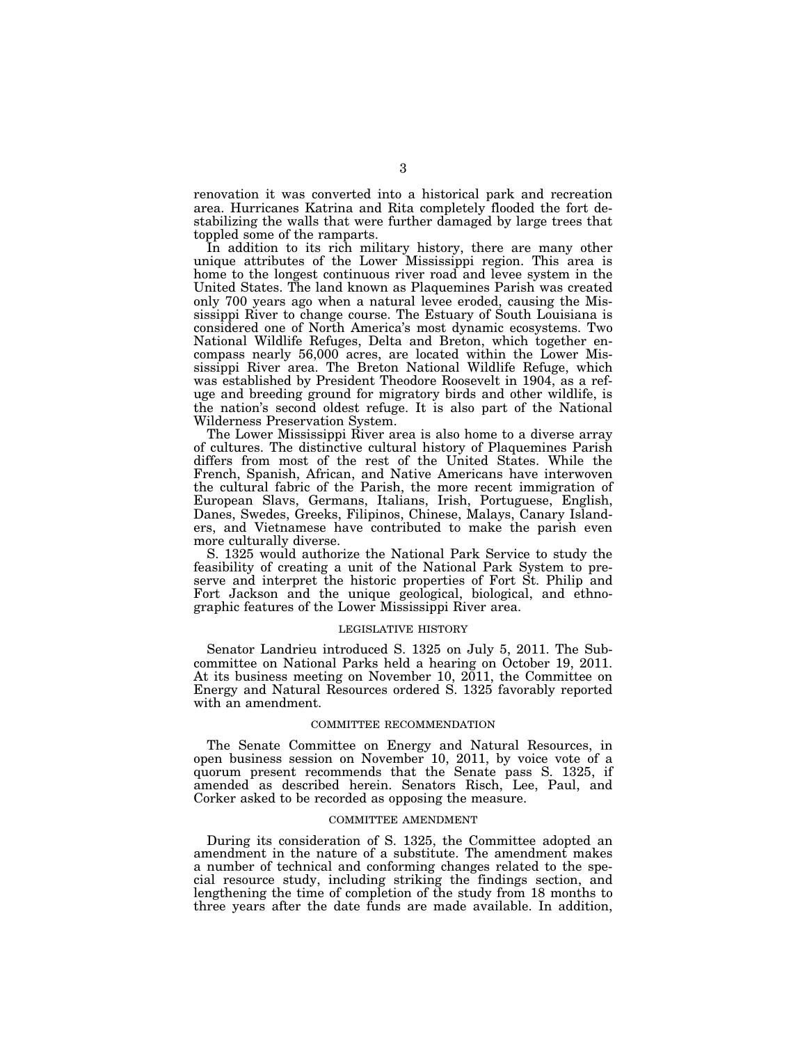renovation it was converted into a historical park and recreation area. Hurricanes Katrina and Rita completely flooded the fort destabilizing the walls that were further damaged by large trees that toppled some of the ramparts.

In addition to its rich military history, there are many other unique attributes of the Lower Mississippi region. This area is home to the longest continuous river road and levee system in the United States. The land known as Plaquemines Parish was created only 700 years ago when a natural levee eroded, causing the Mississippi River to change course. The Estuary of South Louisiana is considered one of North America's most dynamic ecosystems. Two National Wildlife Refuges, Delta and Breton, which together encompass nearly 56,000 acres, are located within the Lower Mississippi River area. The Breton National Wildlife Refuge, which was established by President Theodore Roosevelt in 1904, as a refuge and breeding ground for migratory birds and other wildlife, is the nation's second oldest refuge. It is also part of the National Wilderness Preservation System.

The Lower Mississippi River area is also home to a diverse array of cultures. The distinctive cultural history of Plaquemines Parish differs from most of the rest of the United States. While the French, Spanish, African, and Native Americans have interwoven the cultural fabric of the Parish, the more recent immigration of European Slavs, Germans, Italians, Irish, Portuguese, English, Danes, Swedes, Greeks, Filipinos, Chinese, Malays, Canary Islanders, and Vietnamese have contributed to make the parish even more culturally diverse.

S. 1325 would authorize the National Park Service to study the feasibility of creating a unit of the National Park System to preserve and interpret the historic properties of Fort St. Philip and Fort Jackson and the unique geological, biological, and ethnographic features of the Lower Mississippi River area.

#### LEGISLATIVE HISTORY

Senator Landrieu introduced S. 1325 on July 5, 2011. The Subcommittee on National Parks held a hearing on October 19, 2011. At its business meeting on November 10, 2011, the Committee on Energy and Natural Resources ordered S. 1325 favorably reported with an amendment.

#### COMMITTEE RECOMMENDATION

The Senate Committee on Energy and Natural Resources, in open business session on November 10, 2011, by voice vote of a quorum present recommends that the Senate pass S. 1325, if amended as described herein. Senators Risch, Lee, Paul, and Corker asked to be recorded as opposing the measure.

#### COMMITTEE AMENDMENT

During its consideration of S. 1325, the Committee adopted an amendment in the nature of a substitute. The amendment makes a number of technical and conforming changes related to the special resource study, including striking the findings section, and lengthening the time of completion of the study from 18 months to three years after the date funds are made available. In addition,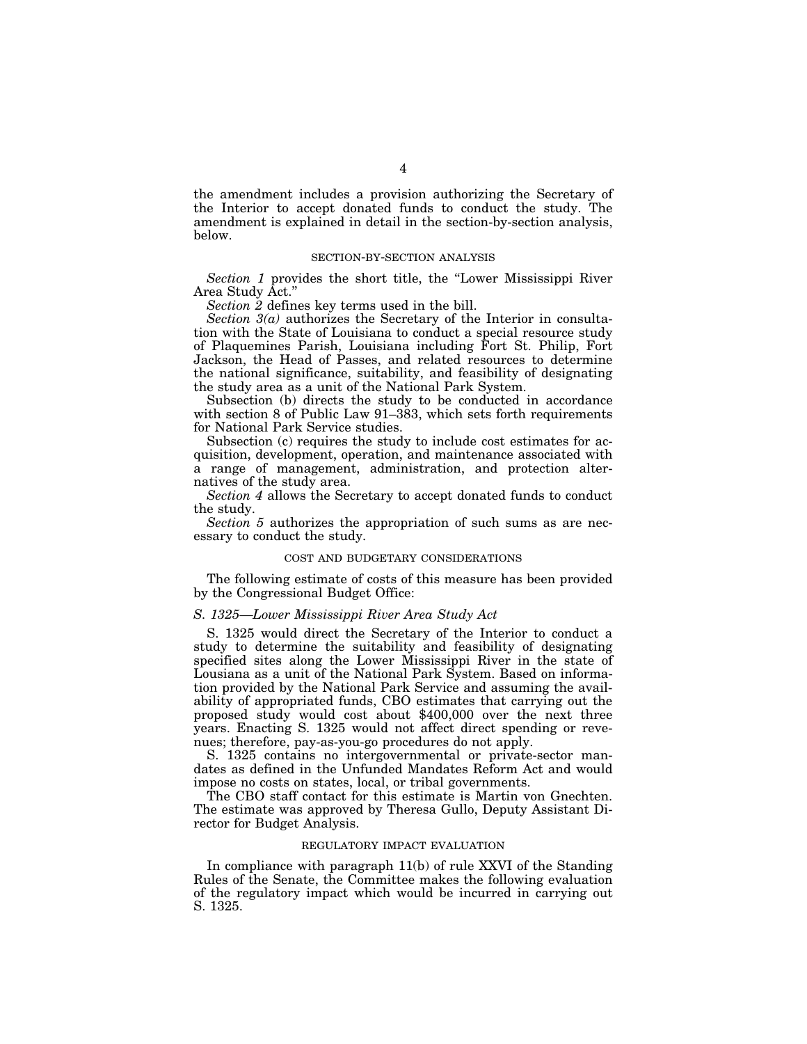the amendment includes a provision authorizing the Secretary of the Interior to accept donated funds to conduct the study. The amendment is explained in detail in the section-by-section analysis, below.

#### SECTION-BY-SECTION ANALYSIS

*Section 1* provides the short title, the ''Lower Mississippi River Area Study Act.''

*Section 2* defines key terms used in the bill.

*Section 3(a)* authorizes the Secretary of the Interior in consultation with the State of Louisiana to conduct a special resource study of Plaquemines Parish, Louisiana including Fort St. Philip, Fort Jackson, the Head of Passes, and related resources to determine the national significance, suitability, and feasibility of designating the study area as a unit of the National Park System.

Subsection (b) directs the study to be conducted in accordance with section 8 of Public Law 91–383, which sets forth requirements for National Park Service studies.

Subsection (c) requires the study to include cost estimates for acquisition, development, operation, and maintenance associated with a range of management, administration, and protection alternatives of the study area.

*Section 4* allows the Secretary to accept donated funds to conduct the study.

*Section 5* authorizes the appropriation of such sums as are necessary to conduct the study.

#### COST AND BUDGETARY CONSIDERATIONS

The following estimate of costs of this measure has been provided by the Congressional Budget Office:

#### *S. 1325—Lower Mississippi River Area Study Act*

S. 1325 would direct the Secretary of the Interior to conduct a study to determine the suitability and feasibility of designating specified sites along the Lower Mississippi River in the state of Lousiana as a unit of the National Park System. Based on information provided by the National Park Service and assuming the availability of appropriated funds, CBO estimates that carrying out the proposed study would cost about \$400,000 over the next three years. Enacting S. 1325 would not affect direct spending or revenues; therefore, pay-as-you-go procedures do not apply.

S. 1325 contains no intergovernmental or private-sector mandates as defined in the Unfunded Mandates Reform Act and would impose no costs on states, local, or tribal governments.

The CBO staff contact for this estimate is Martin von Gnechten. The estimate was approved by Theresa Gullo, Deputy Assistant Director for Budget Analysis.

#### REGULATORY IMPACT EVALUATION

In compliance with paragraph 11(b) of rule XXVI of the Standing Rules of the Senate, the Committee makes the following evaluation of the regulatory impact which would be incurred in carrying out S. 1325.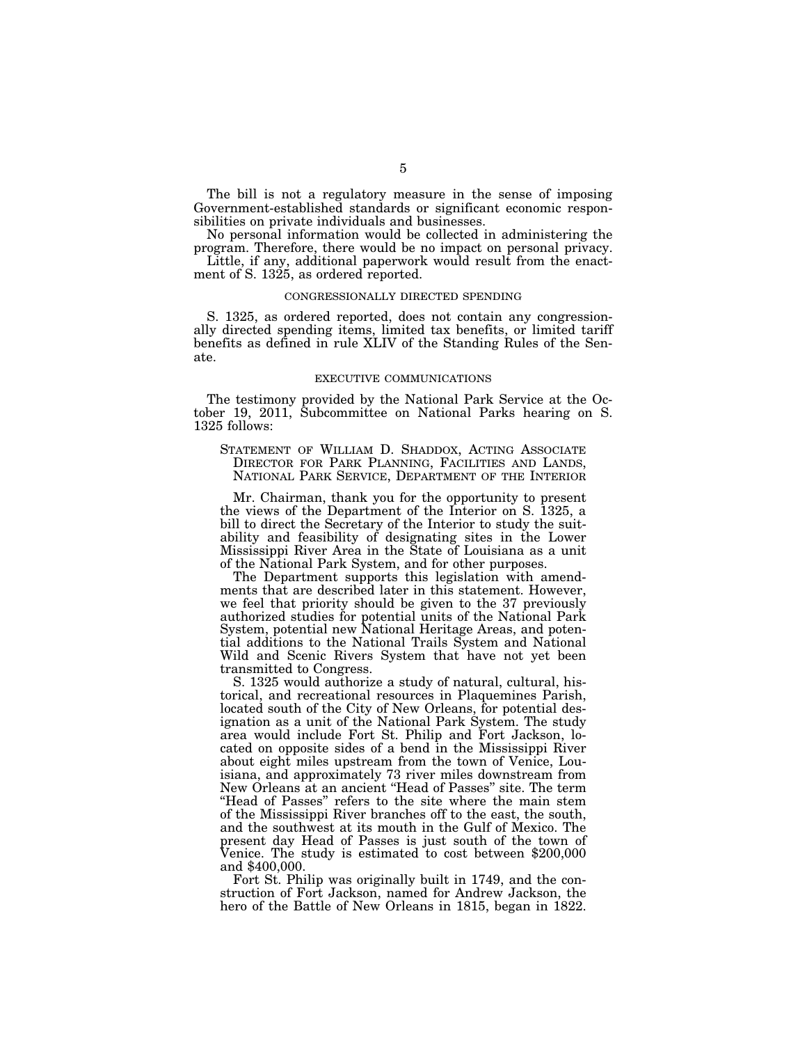The bill is not a regulatory measure in the sense of imposing Government-established standards or significant economic responsibilities on private individuals and businesses.

No personal information would be collected in administering the program. Therefore, there would be no impact on personal privacy.

Little, if any, additional paperwork would result from the enactment of S. 1325, as ordered reported.

#### CONGRESSIONALLY DIRECTED SPENDING

S. 1325, as ordered reported, does not contain any congressionally directed spending items, limited tax benefits, or limited tariff benefits as defined in rule XLIV of the Standing Rules of the Senate.

#### EXECUTIVE COMMUNICATIONS

The testimony provided by the National Park Service at the October 19, 2011, Subcommittee on National Parks hearing on S. 1325 follows:

STATEMENT OF WILLIAM D. SHADDOX, ACTING ASSOCIATE DIRECTOR FOR PARK PLANNING, FACILITIES AND LANDS, NATIONAL PARK SERVICE, DEPARTMENT OF THE INTERIOR

Mr. Chairman, thank you for the opportunity to present the views of the Department of the Interior on S. 1325, a bill to direct the Secretary of the Interior to study the suitability and feasibility of designating sites in the Lower Mississippi River Area in the State of Louisiana as a unit of the National Park System, and for other purposes.

The Department supports this legislation with amendments that are described later in this statement. However, we feel that priority should be given to the 37 previously authorized studies for potential units of the National Park System, potential new National Heritage Areas, and potential additions to the National Trails System and National Wild and Scenic Rivers System that have not yet been transmitted to Congress.

S. 1325 would authorize a study of natural, cultural, historical, and recreational resources in Plaquemines Parish, located south of the City of New Orleans, for potential designation as a unit of the National Park System. The study area would include Fort St. Philip and Fort Jackson, located on opposite sides of a bend in the Mississippi River about eight miles upstream from the town of Venice, Louisiana, and approximately 73 river miles downstream from New Orleans at an ancient ''Head of Passes'' site. The term ''Head of Passes'' refers to the site where the main stem of the Mississippi River branches off to the east, the south, and the southwest at its mouth in the Gulf of Mexico. The present day Head of Passes is just south of the town of Venice. The study is estimated to cost between \$200,000 and \$400,000.

Fort St. Philip was originally built in 1749, and the construction of Fort Jackson, named for Andrew Jackson, the hero of the Battle of New Orleans in 1815, began in 1822.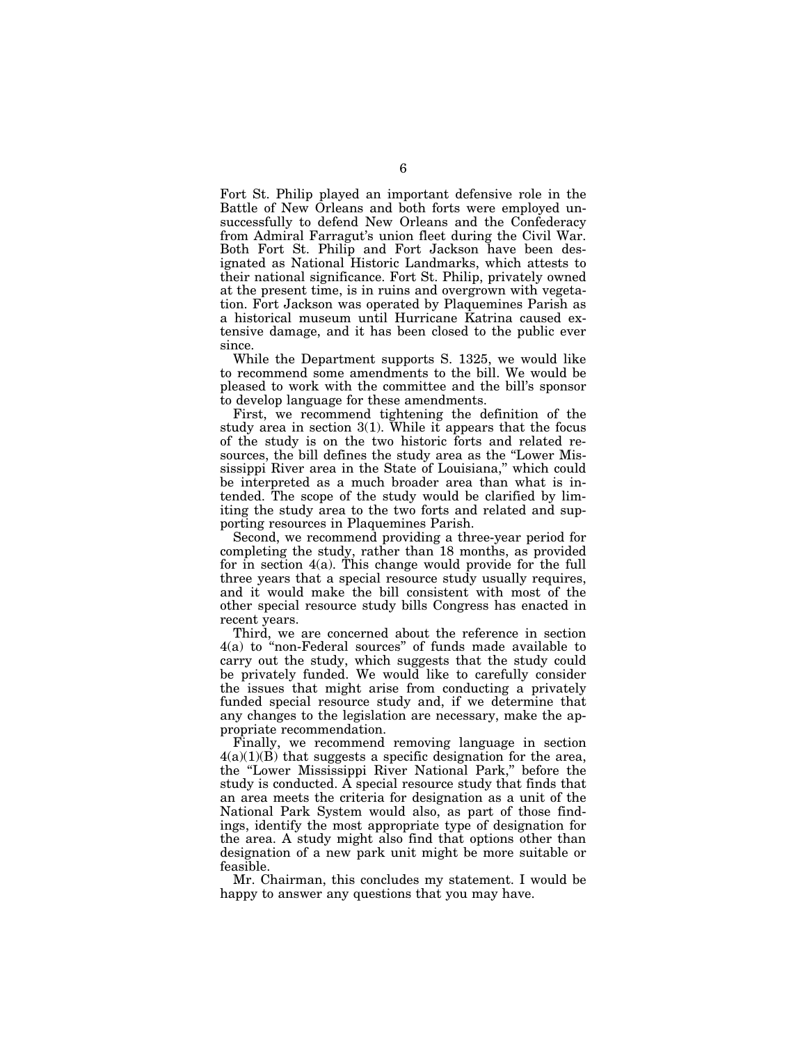Fort St. Philip played an important defensive role in the Battle of New Orleans and both forts were employed unsuccessfully to defend New Orleans and the Confederacy from Admiral Farragut's union fleet during the Civil War. Both Fort St. Philip and Fort Jackson have been designated as National Historic Landmarks, which attests to their national significance. Fort St. Philip, privately owned at the present time, is in ruins and overgrown with vegetation. Fort Jackson was operated by Plaquemines Parish as a historical museum until Hurricane Katrina caused extensive damage, and it has been closed to the public ever since.

While the Department supports S. 1325, we would like to recommend some amendments to the bill. We would be pleased to work with the committee and the bill's sponsor to develop language for these amendments.

First, we recommend tightening the definition of the study area in section 3(1). While it appears that the focus of the study is on the two historic forts and related resources, the bill defines the study area as the "Lower Mississippi River area in the State of Louisiana," which could be interpreted as a much broader area than what is intended. The scope of the study would be clarified by limiting the study area to the two forts and related and supporting resources in Plaquemines Parish.

Second, we recommend providing a three-year period for completing the study, rather than 18 months, as provided for in section 4(a). This change would provide for the full three years that a special resource study usually requires, and it would make the bill consistent with most of the other special resource study bills Congress has enacted in recent years.

Third, we are concerned about the reference in section 4(a) to ''non-Federal sources'' of funds made available to carry out the study, which suggests that the study could be privately funded. We would like to carefully consider the issues that might arise from conducting a privately funded special resource study and, if we determine that any changes to the legislation are necessary, make the appropriate recommendation.

Finally, we recommend removing language in section  $4(a)(1)(B)$  that suggests a specific designation for the area, the ''Lower Mississippi River National Park,'' before the study is conducted. A special resource study that finds that an area meets the criteria for designation as a unit of the National Park System would also, as part of those findings, identify the most appropriate type of designation for the area. A study might also find that options other than designation of a new park unit might be more suitable or feasible.

Mr. Chairman, this concludes my statement. I would be happy to answer any questions that you may have.